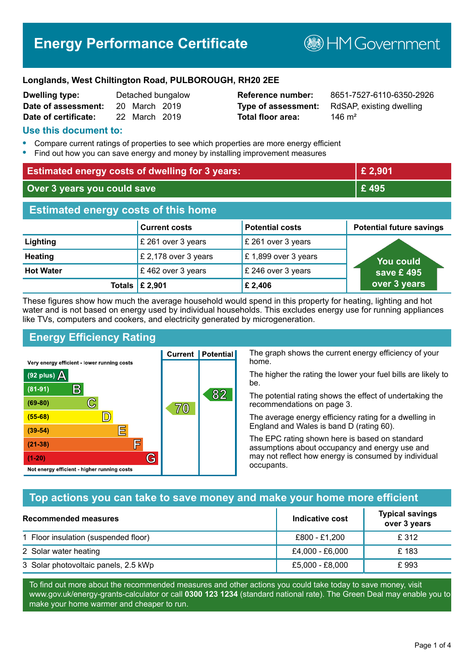# **Energy Performance Certificate**

**B**HMGovernment

#### **Longlands, West Chiltington Road, PULBOROUGH, RH20 2EE**

| <b>Dwelling type:</b> |               | Detached bungalow |
|-----------------------|---------------|-------------------|
| Date of assessment:   | 20 March 2019 |                   |
| Date of certificate:  | 22 March 2019 |                   |

# **Total floor area:** 246 m<sup>2</sup>

**Reference number:** 8651-7527-6110-6350-2926 **Type of assessment:** RdSAP, existing dwelling

### **Use this document to:**

- **•** Compare current ratings of properties to see which properties are more energy efficient
- **•** Find out how you can save energy and money by installing improvement measures

| <b>Estimated energy costs of dwelling for 3 years:</b> |                           |                        | £ 2,901                         |
|--------------------------------------------------------|---------------------------|------------------------|---------------------------------|
| Over 3 years you could save                            |                           |                        | £495                            |
| <b>Estimated energy costs of this home</b>             |                           |                        |                                 |
|                                                        | <b>Current costs</b>      | <b>Potential costs</b> | <b>Potential future savings</b> |
| Lighting                                               | £ 261 over 3 years        | £ 261 over 3 years     |                                 |
| <b>Heating</b>                                         | £ 2,178 over 3 years      | £1,899 over 3 years    | You could                       |
| <b>Hot Water</b>                                       | £462 over 3 years         | £ 246 over 3 years     | save £495                       |
|                                                        | Totals $\mathsf{E}$ 2,901 | £2,406                 | over 3 years                    |

These figures show how much the average household would spend in this property for heating, lighting and hot water and is not based on energy used by individual households. This excludes energy use for running appliances like TVs, computers and cookers, and electricity generated by microgeneration.

**Current | Potential** 

# **Energy Efficiency Rating**

The graph shows the current energy efficiency of your home.

The higher the rating the lower your fuel bills are likely to be.

The potential rating shows the effect of undertaking the recommendations on page 3.

The average energy efficiency rating for a dwelling in England and Wales is band D (rating 60).

The EPC rating shown here is based on standard assumptions about occupancy and energy use and may not reflect how energy is consumed by individual occupants.

# **Top actions you can take to save money and make your home more efficient**

| Recommended measures                 | Indicative cost | <b>Typical savings</b><br>over 3 years |
|--------------------------------------|-----------------|----------------------------------------|
| 1 Floor insulation (suspended floor) | £800 - £1,200   | £ 312                                  |
| 2 Solar water heating                | £4,000 - £6,000 | £183                                   |
| 3 Solar photovoltaic panels, 2.5 kWp | £5,000 - £8,000 | £993                                   |

To find out more about the recommended measures and other actions you could take today to save money, visit www.gov.uk/energy-grants-calculator or call **0300 123 1234** (standard national rate). The Green Deal may enable you to make your home warmer and cheaper to run.

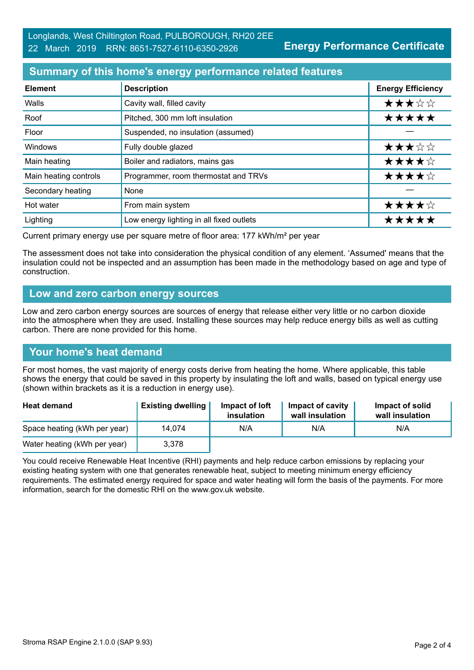# **Summary of this home's energy performance related features**

| <b>Element</b>        | <b>Description</b>                       | <b>Energy Efficiency</b> |
|-----------------------|------------------------------------------|--------------------------|
| Walls                 | Cavity wall, filled cavity               | ★★★☆☆                    |
| Roof                  | Pitched, 300 mm loft insulation          | *****                    |
| Floor                 | Suspended, no insulation (assumed)       |                          |
| Windows               | Fully double glazed                      | ★★★☆☆                    |
| Main heating          | Boiler and radiators, mains gas          | ★★★★☆                    |
| Main heating controls | Programmer, room thermostat and TRVs     | ★★★★☆                    |
| Secondary heating     | None                                     |                          |
| Hot water             | From main system                         | ★★★★☆                    |
| Lighting              | Low energy lighting in all fixed outlets | *****                    |

Current primary energy use per square metre of floor area: 177 kWh/m² per year

The assessment does not take into consideration the physical condition of any element. 'Assumed' means that the insulation could not be inspected and an assumption has been made in the methodology based on age and type of construction.

#### **Low and zero carbon energy sources**

Low and zero carbon energy sources are sources of energy that release either very little or no carbon dioxide into the atmosphere when they are used. Installing these sources may help reduce energy bills as well as cutting carbon. There are none provided for this home.

#### **Your home's heat demand**

For most homes, the vast majority of energy costs derive from heating the home. Where applicable, this table shows the energy that could be saved in this property by insulating the loft and walls, based on typical energy use (shown within brackets as it is a reduction in energy use).

| <b>Heat demand</b>           | <b>Existing dwelling</b> | Impact of loft<br>insulation | Impact of cavity<br>wall insulation | Impact of solid<br>wall insulation |
|------------------------------|--------------------------|------------------------------|-------------------------------------|------------------------------------|
| Space heating (kWh per year) | 14.074                   | N/A                          | N/A                                 | N/A                                |
| Water heating (kWh per year) | 3,378                    |                              |                                     |                                    |

You could receive Renewable Heat Incentive (RHI) payments and help reduce carbon emissions by replacing your existing heating system with one that generates renewable heat, subject to meeting minimum energy efficiency requirements. The estimated energy required for space and water heating will form the basis of the payments. For more information, search for the domestic RHI on the www.gov.uk website.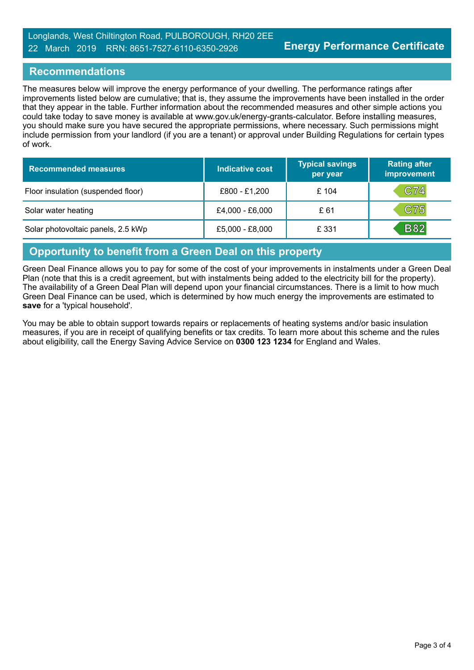### **Recommendations**

The measures below will improve the energy performance of your dwelling. The performance ratings after improvements listed below are cumulative; that is, they assume the improvements have been installed in the order that they appear in the table. Further information about the recommended measures and other simple actions you could take today to save money is available at www.gov.uk/energy-grants-calculator. Before installing measures, you should make sure you have secured the appropriate permissions, where necessary. Such permissions might include permission from your landlord (if you are a tenant) or approval under Building Regulations for certain types of work.

| <b>Recommended measures</b>        | Indicative cost | <b>Typical savings</b><br>per year | <b>Rating after</b><br>improvement |
|------------------------------------|-----------------|------------------------------------|------------------------------------|
| Floor insulation (suspended floor) | £800 - £1,200   | £ 104                              | C74                                |
| Solar water heating                | £4,000 - £6,000 | £ 61                               | C75                                |
| Solar photovoltaic panels, 2.5 kWp | £5,000 - £8,000 | £ 331                              | <b>B82</b>                         |

#### **Opportunity to benefit from a Green Deal on this property**

Green Deal Finance allows you to pay for some of the cost of your improvements in instalments under a Green Deal Plan (note that this is a credit agreement, but with instalments being added to the electricity bill for the property). The availability of a Green Deal Plan will depend upon your financial circumstances. There is a limit to how much Green Deal Finance can be used, which is determined by how much energy the improvements are estimated to **save** for a 'typical household'.

You may be able to obtain support towards repairs or replacements of heating systems and/or basic insulation measures, if you are in receipt of qualifying benefits or tax credits. To learn more about this scheme and the rules about eligibility, call the Energy Saving Advice Service on **0300 123 1234** for England and Wales.